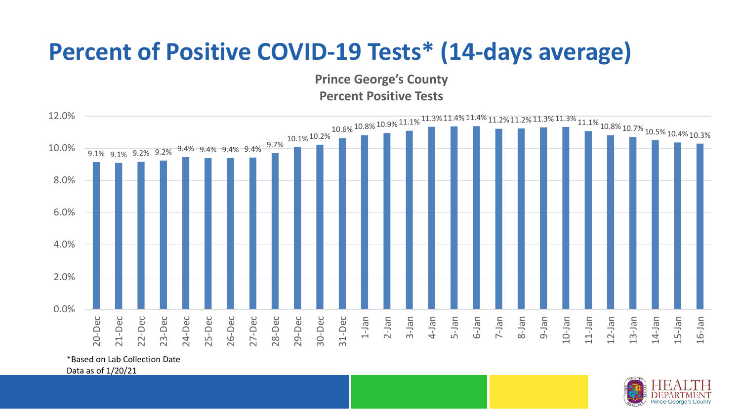## **Percent of Positive COVID-19 Tests\* (14-days average)**

**Prince George's County Percent Positive Tests**



\*Based on Lab Collection Date

Data as of 1/20/21

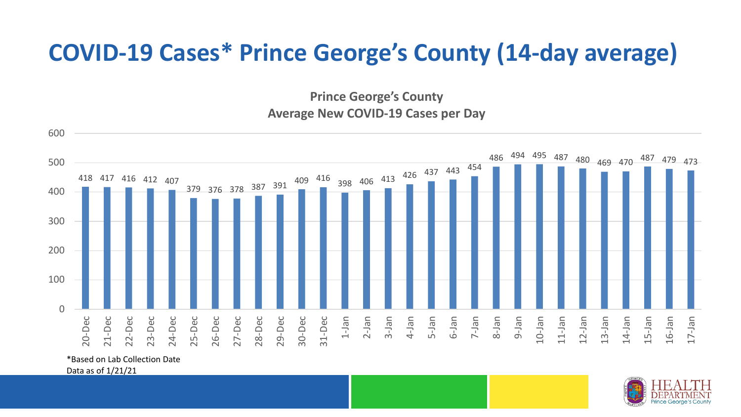## **COVID-19 Cases\* Prince George's County (14-day average)**

**Prince George's County Average New COVID-19 Cases per Day**



\*Based on Lab Collection Date

Data as of 1/21/21